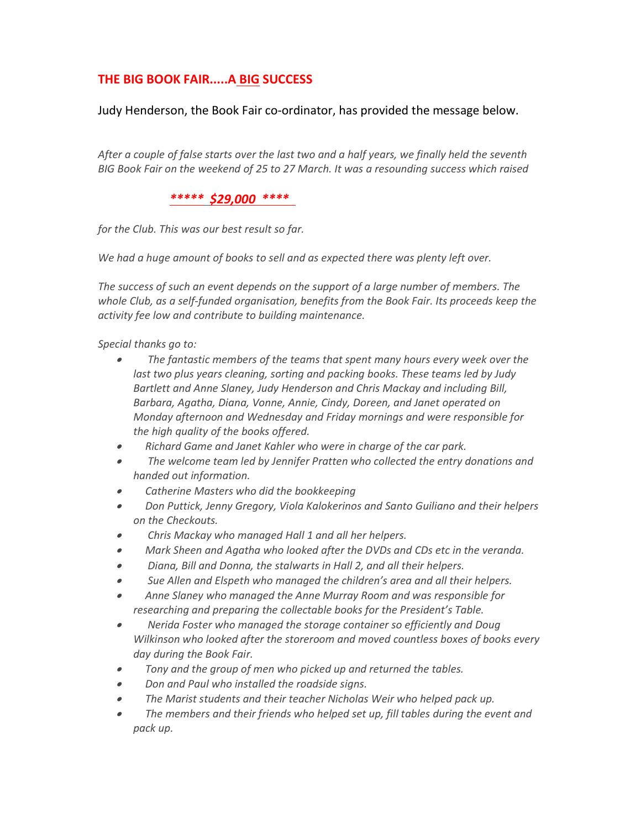# THE BIG BOOK FAIR.....A BIG SUCCESS

Judy Henderson, the Book Fair co-ordinator, has provided the message below.

After a couple of false starts over the last two and a half years, we finally held the seventh BIG Book Fair on the weekend of 25 to 27 March. It was a resounding success which raised

#### \*\*\*\*\* \$29,000 \*\*\*\*

for the Club. This was our best result so far.

We had a huge amount of books to sell and as expected there was plenty left over.

The success of such an event depends on the support of a large number of members. The whole Club, as a self-funded organisation, benefits from the Book Fair. Its proceeds keep the activity fee low and contribute to building maintenance.

Special thanks go to:

- The fantastic members of the teams that spent many hours every week over the last two plus years cleaning, sorting and packing books. These teams led by Judy Bartlett and Anne Slaney, Judy Henderson and Chris Mackay and including Bill, Barbara, Agatha, Diana, Vonne, Annie, Cindy, Doreen, and Janet operated on Monday afternoon and Wednesday and Friday mornings and were responsible for the high quality of the books offered.
- Richard Game and Janet Kahler who were in charge of the car park.
- The welcome team led by Jennifer Pratten who collected the entry donations and handed out information.
- Catherine Masters who did the bookkeeping
- Don Puttick, Jenny Gregory, Viola Kalokerinos and Santo Guiliano and their helpers on the Checkouts.
- Chris Mackay who managed Hall 1 and all her helpers.
- Mark Sheen and Agatha who looked after the DVDs and CDs etc in the veranda.
- Diana, Bill and Donna, the stalwarts in Hall 2, and all their helpers.
- Sue Allen and Elspeth who managed the children's area and all their helpers.
- Anne Slaney who managed the Anne Murray Room and was responsible for researching and preparing the collectable books for the President's Table.
- Nerida Foster who managed the storage container so efficiently and Doug Wilkinson who looked after the storeroom and moved countless boxes of books every day during the Book Fair.
- Tony and the group of men who picked up and returned the tables.
- Don and Paul who installed the roadside signs.
- The Marist students and their teacher Nicholas Weir who helped pack up.
- The members and their friends who helped set up, fill tables during the event and pack up.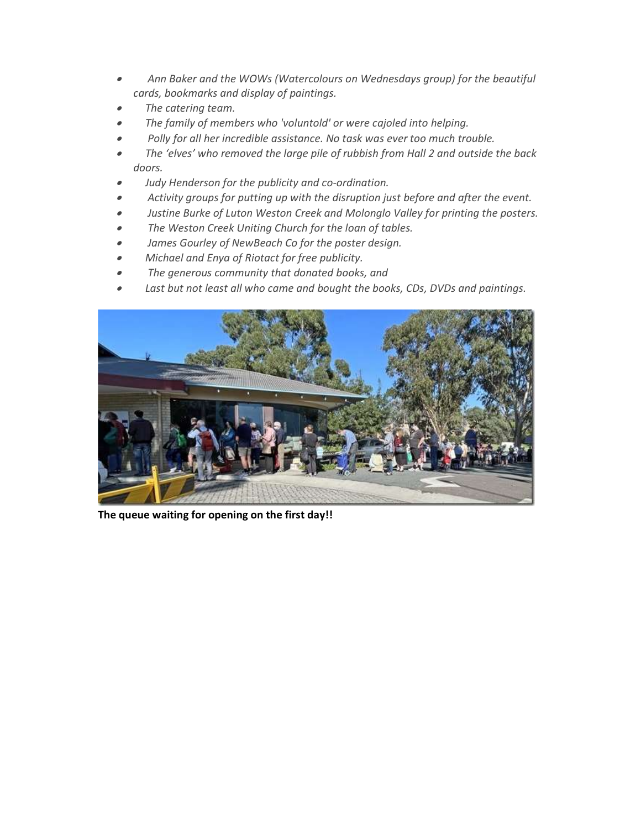- Ann Baker and the WOWs (Watercolours on Wednesdays group) for the beautiful cards, bookmarks and display of paintings.
- The catering team.
- The family of members who 'voluntold' or were cajoled into helping.
- Polly for all her incredible assistance. No task was ever too much trouble.
- The 'elves' who removed the large pile of rubbish from Hall 2 and outside the back doors.
- Judy Henderson for the publicity and co-ordination.
- Activity groups for putting up with the disruption just before and after the event.
- Justine Burke of Luton Weston Creek and Molonglo Valley for printing the posters.
- The Weston Creek Uniting Church for the loan of tables.
- James Gourley of NewBeach Co for the poster design.
- Michael and Enya of Riotact for free publicity.
- The generous community that donated books, and
- Last but not least all who came and bought the books, CDs, DVDs and paintings.



The queue waiting for opening on the first day!!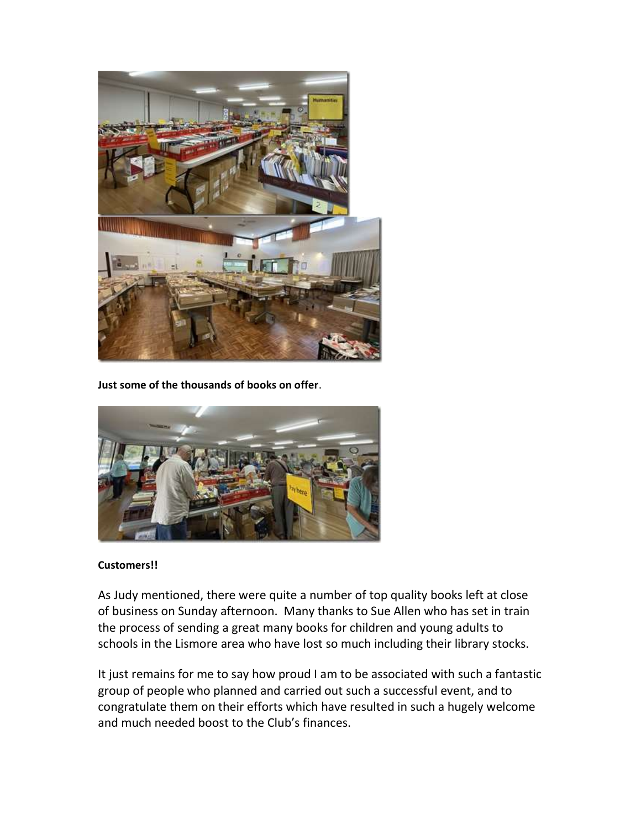

Just some of the thousands of books on offer.



### Customers!!

As Judy mentioned, there were quite a number of top quality books left at close of business on Sunday afternoon. Many thanks to Sue Allen who has set in train the process of sending a great many books for children and young adults to schools in the Lismore area who have lost so much including their library stocks.

It just remains for me to say how proud I am to be associated with such a fantastic group of people who planned and carried out such a successful event, and to congratulate them on their efforts which have resulted in such a hugely welcome and much needed boost to the Club's finances.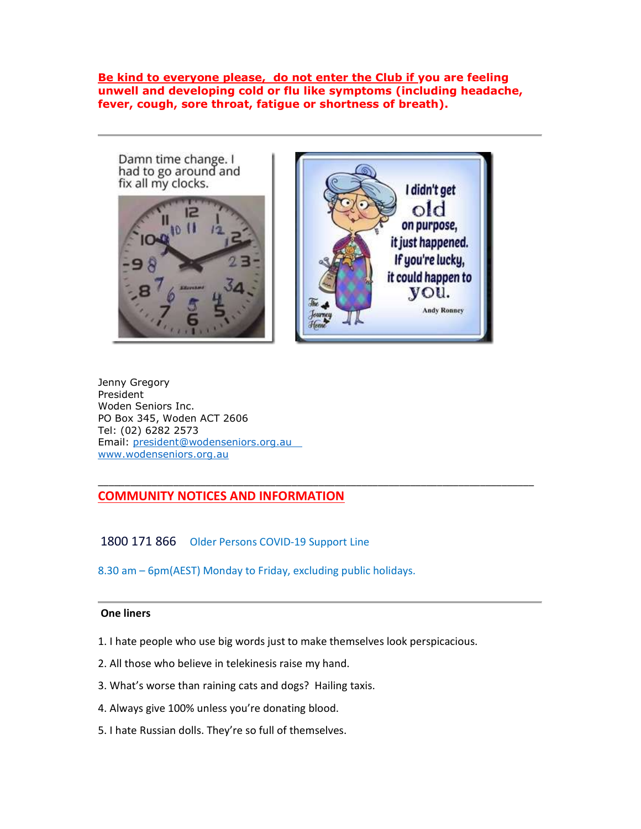Be kind to everyone please, do not enter the Club if you are feeling unwell and developing cold or flu like symptoms (including headache, fever, cough, sore throat, fatigue or shortness of breath).



Jenny Gregory President Woden Seniors Inc. PO Box 345, Woden ACT 2606 Tel: (02) 6282 2573 Email: president@wodenseniors.org.au www.wodenseniors.org.au

## COMMUNITY NOTICES AND INFORMATION

1800 171 866 Older Persons COVID-19 Support Line

8.30 am – 6pm(AEST) Monday to Friday, excluding public holidays.

#### One liners

1. I hate people who use big words just to make themselves look perspicacious.

\_\_\_\_\_\_\_\_\_\_\_\_\_\_\_\_\_\_\_\_\_\_\_\_\_\_\_\_\_\_\_\_\_\_\_\_\_\_\_\_\_\_\_\_\_\_\_\_\_\_\_\_\_\_\_\_\_\_\_\_\_\_\_\_\_\_\_\_\_\_\_\_\_\_\_\_\_\_\_\_\_

- 2. All those who believe in telekinesis raise my hand.
- 3. What's worse than raining cats and dogs? Hailing taxis.
- 4. Always give 100% unless you're donating blood.
- 5. I hate Russian dolls. They're so full of themselves.